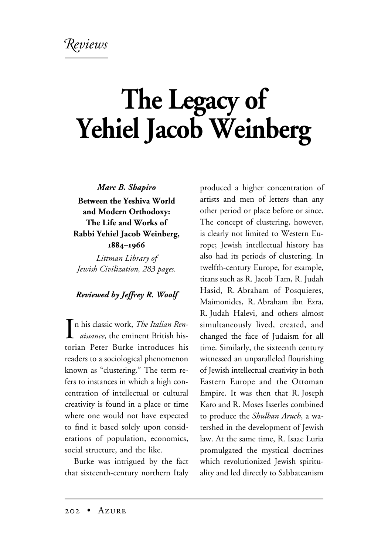## **The Legacy of Yehiel Jacob Weinberg**

*Marc B. Shapiro* **Between the Yeshiva World and Modern Orthodoxy: The Life and Works of Rabbi Yehiel Jacob Weinberg, 1884–1966**

*Littman Library of Jewish Civilization, 283 pages.*

## *Reviewed by Jeffrey R. Woolf*

**I**n his classic work, *The Italian Rendissance*, the eminent British hisn his classic work, *The Italian Ren*torian Peter Burke introduces his readers to a sociological phenomenon known as "clustering." The term refers to instances in which a high concentration of intellectual or cultural creativity is found in a place or time where one would not have expected to find it based solely upon considerations of population, economics, social structure, and the like.

Burke was intrigued by the fact that sixteenth-century northern Italy

produced a higher concentration of artists and men of letters than any other period or place before or since. The concept of clustering, however, is clearly not limited to Western Europe; Jewish intellectual history has also had its periods of clustering. In twelfth-century Europe, for example, titans such as R. Jacob Tam, R. Judah Hasid, R. Abraham of Posquieres, Maimonides, R. Abraham ibn Ezra, R. Judah Halevi, and others almost simultaneously lived, created, and changed the face of Judaism for all time. Similarly, the sixteenth century witnessed an unparalleled flourishing of Jewish intellectual creativity in both Eastern Europe and the Ottoman Empire. It was then that R. Joseph Karo and R. Moses Isserles combined to produce the *Shulhan Aruch*, a watershed in the development of Jewish law. At the same time, R. Isaac Luria promulgated the mystical doctrines which revolutionized Jewish spirituality and led directly to Sabbateanism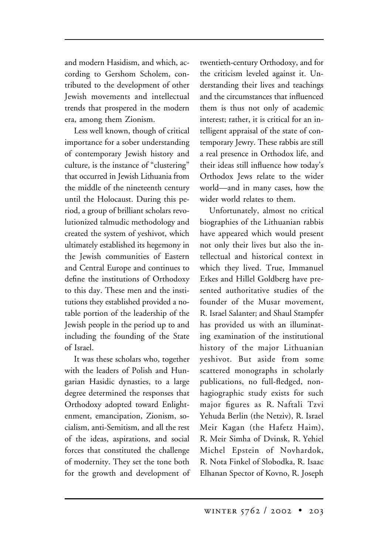and modern Hasidism, and which, according to Gershom Scholem, contributed to the development of other Jewish movements and intellectual trends that prospered in the modern era, among them Zionism.

Less well known, though of critical importance for a sober understanding of contemporary Jewish history and culture, is the instance of "clustering" that occurred in Jewish Lithuania from the middle of the nineteenth century until the Holocaust. During this period, a group of brilliant scholars revolutionized talmudic methodology and created the system of yeshivot, which ultimately established its hegemony in the Jewish communities of Eastern and Central Europe and continues to define the institutions of Orthodoxy to this day. These men and the institutions they established provided a notable portion of the leadership of the Jewish people in the period up to and including the founding of the State of Israel.

It was these scholars who, together with the leaders of Polish and Hungarian Hasidic dynasties, to a large degree determined the responses that Orthodoxy adopted toward Enlightenment, emancipation, Zionism, socialism, anti-Semitism, and all the rest of the ideas, aspirations, and social forces that constituted the challenge of modernity. They set the tone both for the growth and development of

twentieth-century Orthodoxy, and for the criticism leveled against it. Understanding their lives and teachings and the circumstances that influenced them is thus not only of academic interest; rather, it is critical for an intelligent appraisal of the state of contemporary Jewry. These rabbis are still a real presence in Orthodox life, and their ideas still influence how today's Orthodox Jews relate to the wider world—and in many cases, how the wider world relates to them.

Unfortunately, almost no critical biographies of the Lithuanian rabbis have appeared which would present not only their lives but also the intellectual and historical context in which they lived. True, Immanuel Etkes and Hillel Goldberg have presented authoritative studies of the founder of the Musar movement, R. Israel Salanter; and Shaul Stampfer has provided us with an illuminating examination of the institutional history of the major Lithuanian yeshivot. But aside from some scattered monographs in scholarly publications, no full-fledged, nonhagiographic study exists for such major figures as R. Naftali Tzvi Yehuda Berlin (the Netziv), R. Israel Meir Kagan (the Hafetz Haim), R. Meir Simha of Dvinsk, R. Yehiel Michel Epstein of Novhardok, R. Nota Finkel of Slobodka, R. Isaac Elhanan Spector of Kovno, R. Joseph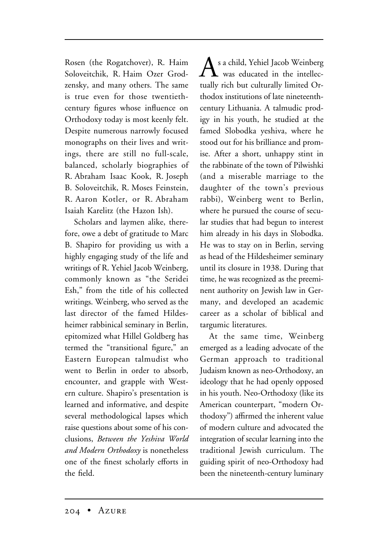Rosen (the Rogatchover), R. Haim Soloveitchik, R. Haim Ozer Grodzensky, and many others. The same is true even for those twentiethcentury figures whose influence on Orthodoxy today is most keenly felt. Despite numerous narrowly focused monographs on their lives and writings, there are still no full-scale, balanced, scholarly biographies of R. Abraham Isaac Kook, R. Joseph B. Soloveitchik, R. Moses Feinstein, R. Aaron Kotler, or R. Abraham Isaiah Karelitz (the Hazon Ish).

Scholars and laymen alike, therefore, owe a debt of gratitude to Marc B. Shapiro for providing us with a highly engaging study of the life and writings of R. Yehiel Jacob Weinberg, commonly known as "the Seridei Esh," from the title of his collected writings. Weinberg, who served as the last director of the famed Hildesheimer rabbinical seminary in Berlin, epitomized what Hillel Goldberg has termed the "transitional figure," an Eastern European talmudist who went to Berlin in order to absorb, encounter, and grapple with Western culture. Shapiro's presentation is learned and informative, and despite several methodological lapses which raise questions about some of his conclusions, *Between the Yeshiva World and Modern Orthodoxy* is nonetheless one of the finest scholarly efforts in the field.

 $\Delta$  s a child, Yehiel Jacob Weinberg was educated in the intellectually rich but culturally limited Orthodox institutions of late nineteenthcentury Lithuania. A talmudic prodigy in his youth, he studied at the famed Slobodka yeshiva, where he stood out for his brilliance and promise. After a short, unhappy stint in the rabbinate of the town of Pilwishki (and a miserable marriage to the daughter of the town's previous rabbi), Weinberg went to Berlin, where he pursued the course of secular studies that had begun to interest him already in his days in Slobodka. He was to stay on in Berlin, serving as head of the Hildesheimer seminary until its closure in 1938. During that time, he was recognized as the preeminent authority on Jewish law in Germany, and developed an academic career as a scholar of biblical and targumic literatures.

At the same time, Weinberg emerged as a leading advocate of the German approach to traditional Judaism known as neo-Orthodoxy, an ideology that he had openly opposed in his youth. Neo-Orthodoxy (like its American counterpart, "modern Orthodoxy") affirmed the inherent value of modern culture and advocated the integration of secular learning into the traditional Jewish curriculum. The guiding spirit of neo-Orthodoxy had been the nineteenth-century luminary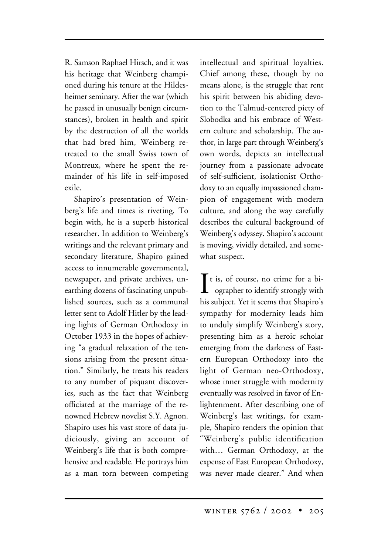R. Samson Raphael Hirsch, and it was his heritage that Weinberg championed during his tenure at the Hildesheimer seminary. After the war (which he passed in unusually benign circumstances), broken in health and spirit by the destruction of all the worlds that had bred him, Weinberg retreated to the small Swiss town of Montreux, where he spent the remainder of his life in self-imposed exile.

Shapiro's presentation of Weinberg's life and times is riveting. To begin with, he is a superb historical researcher. In addition to Weinberg's writings and the relevant primary and secondary literature, Shapiro gained access to innumerable governmental, newspaper, and private archives, unearthing dozens of fascinating unpublished sources, such as a communal letter sent to Adolf Hitler by the leading lights of German Orthodoxy in October 1933 in the hopes of achieving "a gradual relaxation of the tensions arising from the present situation." Similarly, he treats his readers to any number of piquant discoveries, such as the fact that Weinberg officiated at the marriage of the renowned Hebrew novelist S.Y. Agnon. Shapiro uses his vast store of data judiciously, giving an account of Weinberg's life that is both comprehensive and readable. He portrays him as a man torn between competing

intellectual and spiritual loyalties. Chief among these, though by no means alone, is the struggle that rent his spirit between his abiding devotion to the Talmud-centered piety of Slobodka and his embrace of Western culture and scholarship. The author, in large part through Weinberg's own words, depicts an intellectual journey from a passionate advocate of self-sufficient, isolationist Orthodoxy to an equally impassioned champion of engagement with modern culture, and along the way carefully describes the cultural background of Weinberg's odyssey. Shapiro's account is moving, vividly detailed, and somewhat suspect.

 $\prod$ t is, of course, no crime for a biographer to identify strongly with ographer to identify strongly with his subject. Yet it seems that Shapiro's sympathy for modernity leads him to unduly simplify Weinberg's story, presenting him as a heroic scholar emerging from the darkness of Eastern European Orthodoxy into the light of German neo-Orthodoxy, whose inner struggle with modernity eventually was resolved in favor of Enlightenment. After describing one of Weinberg's last writings, for example, Shapiro renders the opinion that "Weinberg's public identification with… German Orthodoxy, at the expense of East European Orthodoxy, was never made clearer." And when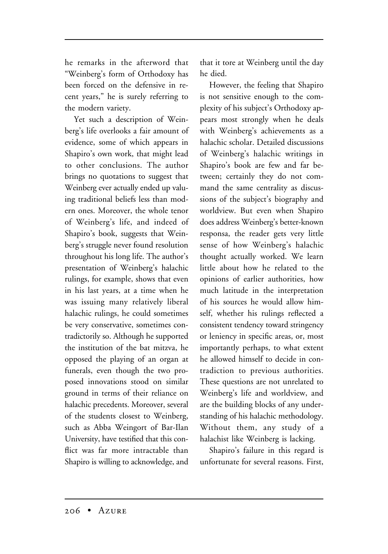he remarks in the afterword that "Weinberg's form of Orthodoxy has been forced on the defensive in recent years," he is surely referring to the modern variety.

Yet such a description of Weinberg's life overlooks a fair amount of evidence, some of which appears in Shapiro's own work, that might lead to other conclusions. The author brings no quotations to suggest that Weinberg ever actually ended up valuing traditional beliefs less than modern ones. Moreover, the whole tenor of Weinberg's life, and indeed of Shapiro's book, suggests that Weinberg's struggle never found resolution throughout his long life. The author's presentation of Weinberg's halachic rulings, for example, shows that even in his last years, at a time when he was issuing many relatively liberal halachic rulings, he could sometimes be very conservative, sometimes contradictorily so. Although he supported the institution of the bat mitzva, he opposed the playing of an organ at funerals, even though the two proposed innovations stood on similar ground in terms of their reliance on halachic precedents. Moreover, several of the students closest to Weinberg, such as Abba Weingort of Bar-Ilan University, have testified that this conflict was far more intractable than Shapiro is willing to acknowledge, and

that it tore at Weinberg until the day he died.

However, the feeling that Shapiro is not sensitive enough to the complexity of his subject's Orthodoxy appears most strongly when he deals with Weinberg's achievements as a halachic scholar. Detailed discussions of Weinberg's halachic writings in Shapiro's book are few and far between; certainly they do not command the same centrality as discussions of the subject's biography and worldview. But even when Shapiro does address Weinberg's better-known responsa, the reader gets very little sense of how Weinberg's halachic thought actually worked. We learn little about how he related to the opinions of earlier authorities, how much latitude in the interpretation of his sources he would allow himself, whether his rulings reflected a consistent tendency toward stringency or leniency in specific areas, or, most importantly perhaps, to what extent he allowed himself to decide in contradiction to previous authorities. These questions are not unrelated to Weinberg's life and worldview, and are the building blocks of any understanding of his halachic methodology. Without them, any study of a halachist like Weinberg is lacking.

Shapiro's failure in this regard is unfortunate for several reasons. First,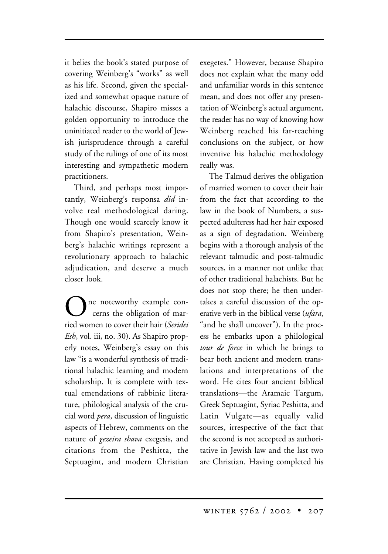it belies the book's stated purpose of covering Weinberg's "works" as well as his life. Second, given the specialized and somewhat opaque nature of halachic discourse, Shapiro misses a golden opportunity to introduce the uninitiated reader to the world of Jewish jurisprudence through a careful study of the rulings of one of its most interesting and sympathetic modern practitioners.

Third, and perhaps most importantly, Weinberg's responsa *did* involve real methodological daring. Though one would scarcely know it from Shapiro's presentation, Weinberg's halachic writings represent a revolutionary approach to halachic adjudication, and deserve a much closer look.

ne noteworthy example concerns the obligation of married women to cover their hair (*Seridei Esh*, vol. iii, no. 30). As Shapiro properly notes, Weinberg's essay on this law "is a wonderful synthesis of traditional halachic learning and modern scholarship. It is complete with textual emendations of rabbinic literature, philological analysis of the crucial word *pera*, discussion of linguistic aspects of Hebrew, comments on the nature of *gezeira shava* exegesis, and citations from the Peshitta, the Septuagint, and modern Christian

exegetes." However, because Shapiro does not explain what the many odd and unfamiliar words in this sentence mean, and does not offer any presentation of Weinberg's actual argument, the reader has no way of knowing how Weinberg reached his far-reaching conclusions on the subject, or how inventive his halachic methodology really was.

The Talmud derives the obligation of married women to cover their hair from the fact that according to the law in the book of Numbers, a suspected adulteress had her hair exposed as a sign of degradation. Weinberg begins with a thorough analysis of the relevant talmudic and post-talmudic sources, in a manner not unlike that of other traditional halachists. But he does not stop there; he then undertakes a careful discussion of the operative verb in the biblical verse (*ufara*, "and he shall uncover"). In the process he embarks upon a philological *tour de force* in which he brings to bear both ancient and modern translations and interpretations of the word. He cites four ancient biblical translations—the Aramaic Targum, Greek Septuagint, Syriac Peshitta, and Latin Vulgate—as equally valid sources, irrespective of the fact that the second is not accepted as authoritative in Jewish law and the last two are Christian. Having completed his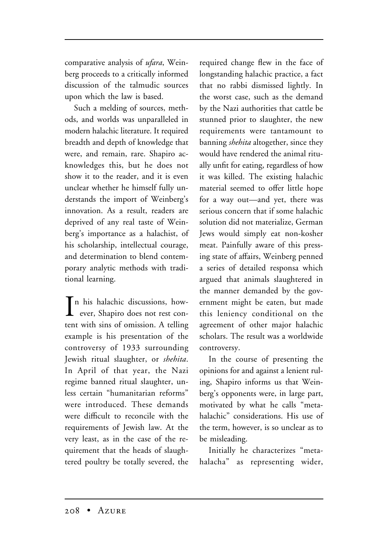comparative analysis of *ufara*, Weinberg proceeds to a critically informed discussion of the talmudic sources upon which the law is based.

Such a melding of sources, methods, and worlds was unparalleled in modern halachic literature. It required breadth and depth of knowledge that were, and remain, rare. Shapiro acknowledges this, but he does not show it to the reader, and it is even unclear whether he himself fully understands the import of Weinberg's innovation. As a result, readers are deprived of any real taste of Weinberg's importance as a halachist, of his scholarship, intellectual courage, and determination to blend contemporary analytic methods with traditional learning.

 $\prod$ n his halachic discussions, how-<br>ever, Shapiro does not rest conever, Shapiro does not rest content with sins of omission. A telling example is his presentation of the controversy of 1933 surrounding Jewish ritual slaughter, or *shehita*. In April of that year, the Nazi regime banned ritual slaughter, unless certain "humanitarian reforms" were introduced. These demands were difficult to reconcile with the requirements of Jewish law. At the very least, as in the case of the requirement that the heads of slaughtered poultry be totally severed, the required change flew in the face of longstanding halachic practice, a fact that no rabbi dismissed lightly. In the worst case, such as the demand by the Nazi authorities that cattle be stunned prior to slaughter, the new requirements were tantamount to banning *shehita* altogether, since they would have rendered the animal ritually unfit for eating, regardless of how it was killed. The existing halachic material seemed to offer little hope for a way out—and yet, there was serious concern that if some halachic solution did not materialize, German Jews would simply eat non-kosher meat. Painfully aware of this pressing state of affairs, Weinberg penned a series of detailed responsa which argued that animals slaughtered in the manner demanded by the government might be eaten, but made this leniency conditional on the agreement of other major halachic scholars. The result was a worldwide controversy.

In the course of presenting the opinions for and against a lenient ruling, Shapiro informs us that Weinberg's opponents were, in large part, motivated by what he calls "metahalachic" considerations. His use of the term, however, is so unclear as to be misleading.

Initially he characterizes "metahalacha" as representing wider,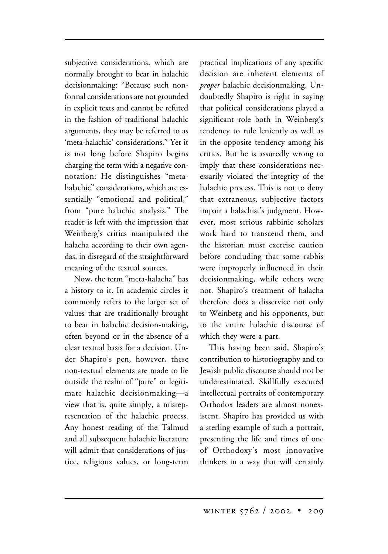subjective considerations, which are normally brought to bear in halachic decisionmaking: "Because such nonformal considerations are not grounded in explicit texts and cannot be refuted in the fashion of traditional halachic arguments, they may be referred to as 'meta-halachic' considerations." Yet it is not long before Shapiro begins charging the term with a negative connotation: He distinguishes "metahalachic" considerations, which are essentially "emotional and political," from "pure halachic analysis." The reader is left with the impression that Weinberg's critics manipulated the halacha according to their own agendas, in disregard of the straightforward meaning of the textual sources.

Now, the term "meta-halacha" has a history to it. In academic circles it commonly refers to the larger set of values that are traditionally brought to bear in halachic decision-making, often beyond or in the absence of a clear textual basis for a decision. Under Shapiro's pen, however, these non-textual elements are made to lie outside the realm of "pure" or legitimate halachic decisionmaking—a view that is, quite simply, a misrepresentation of the halachic process. Any honest reading of the Talmud and all subsequent halachic literature will admit that considerations of justice, religious values, or long-term

practical implications of any specific decision are inherent elements of *proper* halachic decisionmaking. Undoubtedly Shapiro is right in saying that political considerations played a significant role both in Weinberg's tendency to rule leniently as well as in the opposite tendency among his critics. But he is assuredly wrong to imply that these considerations necessarily violated the integrity of the halachic process. This is not to deny that extraneous, subjective factors impair a halachist's judgment. However, most serious rabbinic scholars work hard to transcend them, and the historian must exercise caution before concluding that some rabbis were improperly influenced in their decisionmaking, while others were not. Shapiro's treatment of halacha therefore does a disservice not only to Weinberg and his opponents, but to the entire halachic discourse of which they were a part.

This having been said, Shapiro's contribution to historiography and to Jewish public discourse should not be underestimated. Skillfully executed intellectual portraits of contemporary Orthodox leaders are almost nonexistent. Shapiro has provided us with a sterling example of such a portrait, presenting the life and times of one of Orthodoxy's most innovative thinkers in a way that will certainly